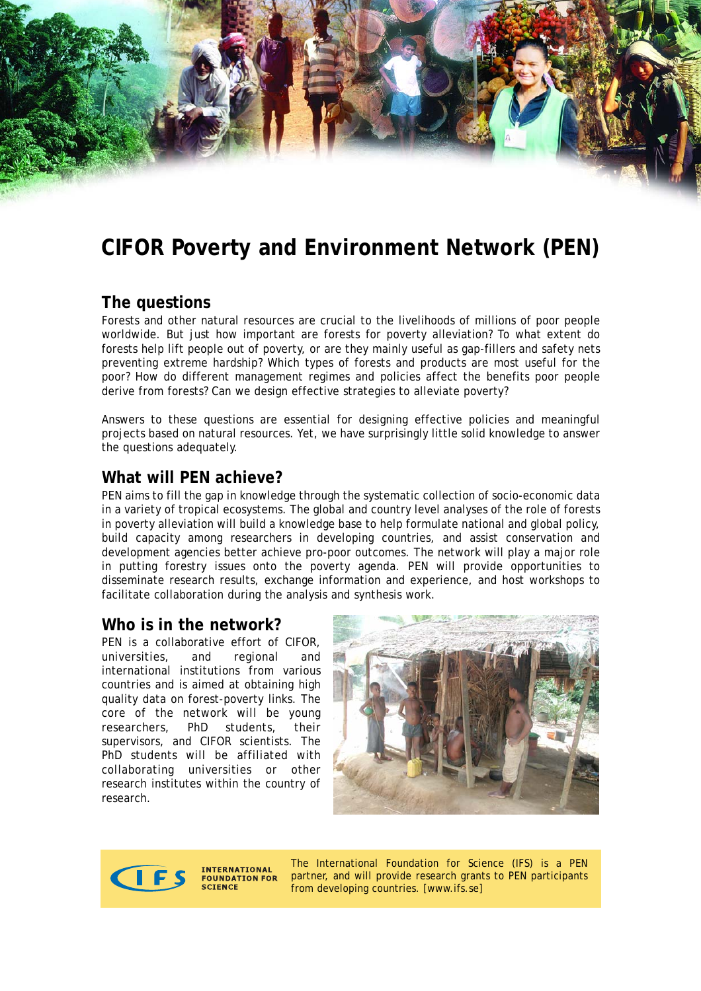# **CIFOR Poverty and Environment Network (PEN)**

# **The questions**

Forests and other natural resources are crucial to the livelihoods of millions of poor people worldwide. But just how important are forests for poverty alleviation? To what extent do forests help lift people out of poverty, or are they mainly useful as gap-fillers and safety nets preventing extreme hardship? Which types of forests and products are most useful for the poor? How do different management regimes and policies affect the benefits poor people derive from forests? Can we design effective strategies to alleviate poverty?

Answers to these questions are essential for designing effective policies and meaningful projects based on natural resources. Yet, we have surprisingly little solid knowledge to answer the questions adequately.

## **What will PEN achieve?**

PEN aims to fill the gap in knowledge through the systematic collection of socio-economic data in a variety of tropical ecosystems. The global and country level analyses of the role of forests in poverty alleviation will build a knowledge base to help formulate national and global policy, build capacity among researchers in developing countries, and assist conservation and development agencies better achieve pro-poor outcomes. The network will play a major role in putting forestry issues onto the poverty agenda. PEN will provide opportunities to disseminate research results, exchange information and experience, and host workshops to facilitate collaboration during the analysis and synthesis work.

### **Who is in the network?**

PEN is a collaborative effort of CIFOR, universities, and regional and international institutions from various countries and is aimed at obtaining high quality data on forest-poverty links. The core of the network will be young researchers, PhD students, their supervisors, and CIFOR scientists. The PhD students will be affiliated with collaborating universities or other research institutes within the country of research.





**INTERNATIONAL FOUNDATION FOR SCIENCE** 

The International Foundation for Science (IFS) is a PEN partner, and will provide research grants to PEN participants from developing countries. [www.ifs.se]